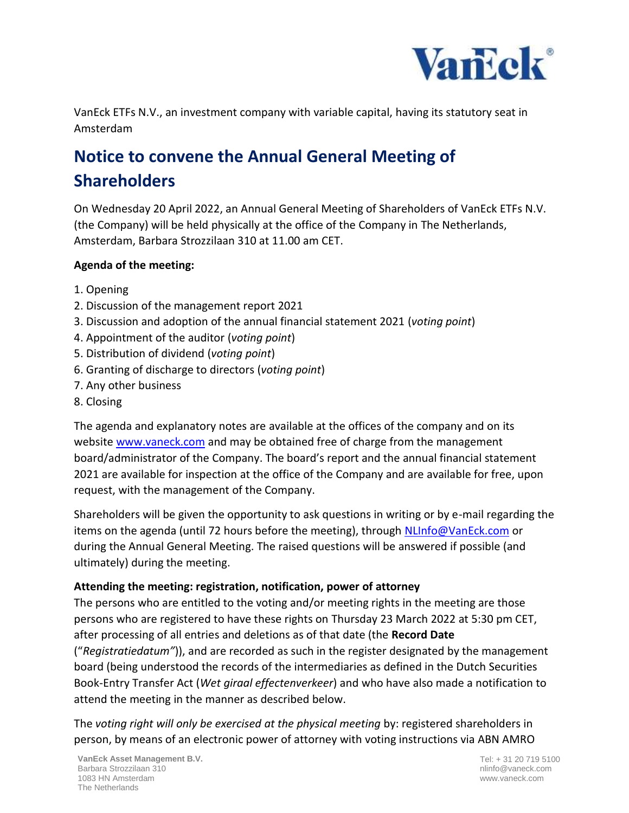

VanEck ETFs N.V., an investment company with variable capital, having its statutory seat in Amsterdam

## **Notice to convene the Annual General Meeting of Shareholders**

On Wednesday 20 April 2022, an Annual General Meeting of Shareholders of VanEck ETFs N.V. (the Company) will be held physically at the office of the Company in The Netherlands, Amsterdam, Barbara Strozzilaan 310 at 11.00 am CET.

## **Agenda of the meeting:**

- 1. Opening
- 2. Discussion of the management report 2021
- 3. Discussion and adoption of the annual financial statement 2021 (*voting point*)
- 4. Appointment of the auditor (*voting point*)
- 5. Distribution of dividend (*voting point*)
- 6. Granting of discharge to directors (*voting point*)
- 7. Any other business
- 8. Closing

The agenda and explanatory notes are available at the offices of the company and on its website [www.vaneck.com](http://www.vaneck.com/) and may be obtained free of charge from the management board/administrator of the Company. The board's report and the annual financial statement 2021 are available for inspection at the office of the Company and are available for free, upon request, with the management of the Company.

Shareholders will be given the opportunity to ask questions in writing or by e-mail regarding the items on the agenda (until 72 hours before the meeting), through [NLInfo@VanEck.com](mailto:NLInfo@VanEck.com) or during the Annual General Meeting. The raised questions will be answered if possible (and ultimately) during the meeting.

## **Attending the meeting: registration, notification, power of attorney**

The persons who are entitled to the voting and/or meeting rights in the meeting are those persons who are registered to have these rights on Thursday 23 March 2022 at 5:30 pm CET, after processing of all entries and deletions as of that date (the **Record Date** ("*Registratiedatum"*)), and are recorded as such in the register designated by the management board (being understood the records of the intermediaries as defined in the Dutch Securities Book-Entry Transfer Act (*Wet giraal effectenverkeer*) and who have also made a notification to attend the meeting in the manner as described below.

The *voting right will only be exercised at the physical meeting* by: registered shareholders in person, by means of an electronic power of attorney with voting instructions via ABN AMRO